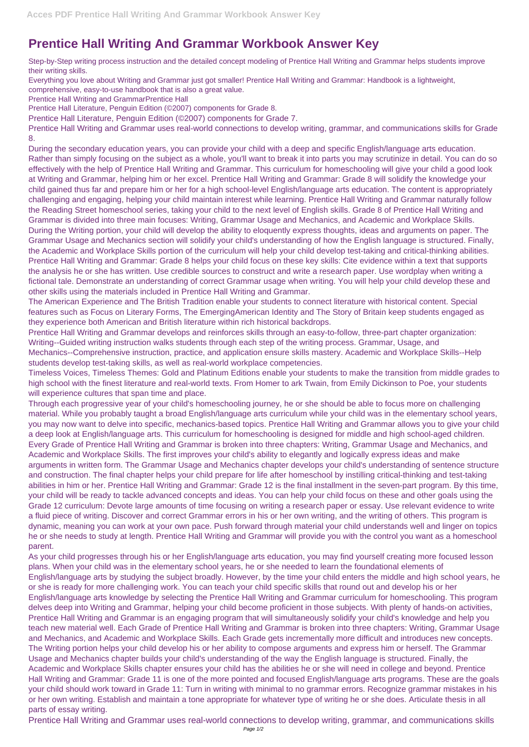## **Prentice Hall Writing And Grammar Workbook Answer Key**

Step-by-Step writing process instruction and the detailed concept modeling of Prentice Hall Writing and Grammar helps students improve their writing skills.

Everything you love about Writing and Grammar just got smaller! Prentice Hall Writing and Grammar: Handbook is a lightweight,

comprehensive, easy-to-use handbook that is also a great value.

Prentice Hall Writing and GrammarPrentice Hall

Prentice Hall Literature, Penguin Edition (©2007) components for Grade 8.

Prentice Hall Literature, Penguin Edition (©2007) components for Grade 7.

Prentice Hall Writing and Grammar uses real-world connections to develop writing, grammar, and communications skills for Grade 8.

Timeless Voices, Timeless Themes: Gold and Platinum Editions enable your students to make the transition from middle grades to high school with the finest literature and real-world texts. From Homer to ark Twain, from Emily Dickinson to Poe, your students will experience cultures that span time and place.

During the secondary education years, you can provide your child with a deep and specific English/language arts education. Rather than simply focusing on the subject as a whole, you'll want to break it into parts you may scrutinize in detail. You can do so effectively with the help of Prentice Hall Writing and Grammar. This curriculum for homeschooling will give your child a good look at Writing and Grammar, helping him or her excel. Prentice Hall Writing and Grammar: Grade 8 will solidify the knowledge your child gained thus far and prepare him or her for a high school-level English/language arts education. The content is appropriately challenging and engaging, helping your child maintain interest while learning. Prentice Hall Writing and Grammar naturally follow the Reading Street homeschool series, taking your child to the next level of English skills. Grade 8 of Prentice Hall Writing and Grammar is divided into three main focuses: Writing, Grammar Usage and Mechanics, and Academic and Workplace Skills. During the Writing portion, your child will develop the ability to eloquently express thoughts, ideas and arguments on paper. The Grammar Usage and Mechanics section will solidify your child's understanding of how the English language is structured. Finally, the Academic and Workplace Skills portion of the curriculum will help your child develop test-taking and critical-thinking abilities. Prentice Hall Writing and Grammar: Grade 8 helps your child focus on these key skills: Cite evidence within a text that supports the analysis he or she has written. Use credible sources to construct and write a research paper. Use wordplay when writing a fictional tale. Demonstrate an understanding of correct Grammar usage when writing. You will help your child develop these and other skills using the materials included in Prentice Hall Writing and Grammar.

The American Experience and The British Tradition enable your students to connect literature with historical content. Special features such as Focus on Literary Forms, The EmergingAmerican Identity and The Story of Britain keep students engaged as they experience both American and British literature within rich historical backdrops.

Prentice Hall Writing and Grammar develops and reinforces skills through an easy-to-follow, three-part chapter organization: Writing--Guided writing instruction walks students through each step of the writing process. Grammar, Usage, and Mechanics--Comprehensive instruction, practice, and application ensure skills mastery. Academic and Workplace Skills--Help students develop test-taking skills, as well as real-world workplace competencies.

Through each progressive year of your child's homeschooling journey, he or she should be able to focus more on challenging material. While you probably taught a broad English/language arts curriculum while your child was in the elementary school years, you may now want to delve into specific, mechanics-based topics. Prentice Hall Writing and Grammar allows you to give your child a deep look at English/language arts. This curriculum for homeschooling is designed for middle and high school-aged children. Every Grade of Prentice Hall Writing and Grammar is broken into three chapters: Writing, Grammar Usage and Mechanics, and Academic and Workplace Skills. The first improves your child's ability to elegantly and logically express ideas and make arguments in written form. The Grammar Usage and Mechanics chapter develops your child's understanding of sentence structure and construction. The final chapter helps your child prepare for life after homeschool by instilling critical-thinking and test-taking abilities in him or her. Prentice Hall Writing and Grammar: Grade 12 is the final installment in the seven-part program. By this time, your child will be ready to tackle advanced concepts and ideas. You can help your child focus on these and other goals using the Grade 12 curriculum: Devote large amounts of time focusing on writing a research paper or essay. Use relevant evidence to write a fluid piece of writing. Discover and correct Grammar errors in his or her own writing, and the writing of others. This program is dynamic, meaning you can work at your own pace. Push forward through material your child understands well and linger on topics he or she needs to study at length. Prentice Hall Writing and Grammar will provide you with the control you want as a homeschool parent.

As your child progresses through his or her English/language arts education, you may find yourself creating more focused lesson plans. When your child was in the elementary school years, he or she needed to learn the foundational elements of English/language arts by studying the subject broadly. However, by the time your child enters the middle and high school years, he or she is ready for more challenging work. You can teach your child specific skills that round out and develop his or her English/language arts knowledge by selecting the Prentice Hall Writing and Grammar curriculum for homeschooling. This program delves deep into Writing and Grammar, helping your child become proficient in those subjects. With plenty of hands-on activities, Prentice Hall Writing and Grammar is an engaging program that will simultaneously solidify your child's knowledge and help you teach new material well. Each Grade of Prentice Hall Writing and Grammar is broken into three chapters: Writing, Grammar Usage and Mechanics, and Academic and Workplace Skills. Each Grade gets incrementally more difficult and introduces new concepts. The Writing portion helps your child develop his or her ability to compose arguments and express him or herself. The Grammar Usage and Mechanics chapter builds your child's understanding of the way the English language is structured. Finally, the Academic and Workplace Skills chapter ensures your child has the abilities he or she will need in college and beyond. Prentice Hall Writing and Grammar: Grade 11 is one of the more pointed and focused English/language arts programs. These are the goals your child should work toward in Grade 11: Turn in writing with minimal to no grammar errors. Recognize grammar mistakes in his or her own writing. Establish and maintain a tone appropriate for whatever type of writing he or she does. Articulate thesis in all parts of essay writing. Prentice Hall Writing and Grammar uses real-world connections to develop writing, grammar, and communications skills